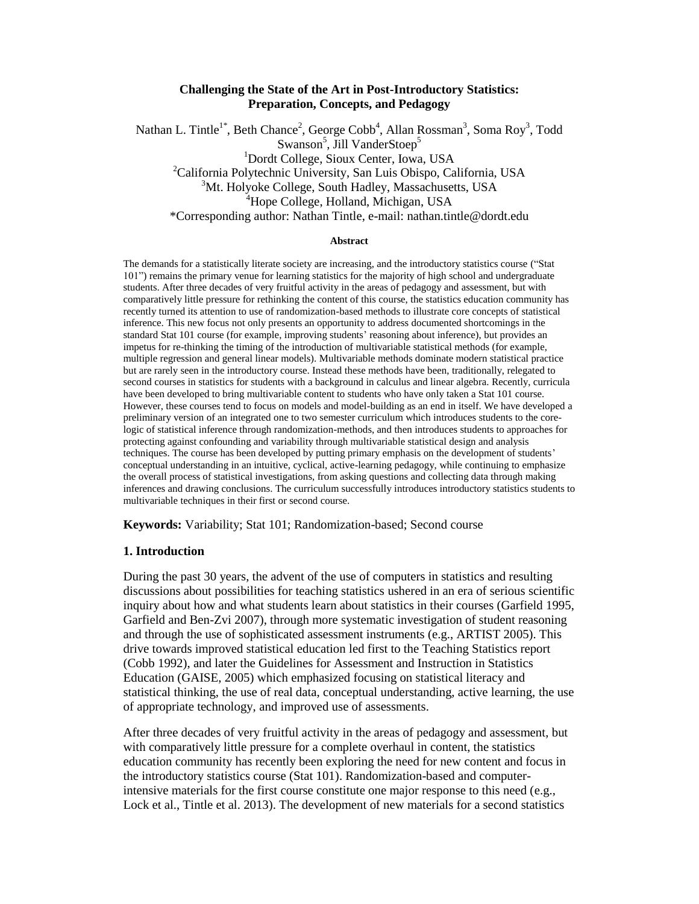### **Challenging the State of the Art in Post-Introductory Statistics: Preparation, Concepts, and Pedagogy**

Nathan L. Tintle<sup>1\*</sup>, Beth Chance<sup>2</sup>, George Cobb<sup>4</sup>, Allan Rossman<sup>3</sup>, Soma Roy<sup>3</sup>, Todd Swanson<sup>5</sup>, Jill VanderStoep<sup>5</sup> <sup>1</sup>Dordt College, Sioux Center, Iowa, USA <sup>2</sup>California Polytechnic University, San Luis Obispo, California, USA <sup>3</sup>Mt. Holyoke College, South Hadley, Massachusetts, USA <sup>4</sup>Hope College, Holland, Michigan, USA \*Corresponding author: Nathan Tintle, e-mail: nathan.tintle@dordt.edu

#### **Abstract**

The demands for a statistically literate society are increasing, and the introductory statistics course ("Stat 101‖) remains the primary venue for learning statistics for the majority of high school and undergraduate students. After three decades of very fruitful activity in the areas of pedagogy and assessment, but with comparatively little pressure for rethinking the content of this course, the statistics education community has recently turned its attention to use of randomization-based methods to illustrate core concepts of statistical inference. This new focus not only presents an opportunity to address documented shortcomings in the standard Stat 101 course (for example, improving students' reasoning about inference), but provides an impetus for re-thinking the timing of the introduction of multivariable statistical methods (for example, multiple regression and general linear models). Multivariable methods dominate modern statistical practice but are rarely seen in the introductory course. Instead these methods have been, traditionally, relegated to second courses in statistics for students with a background in calculus and linear algebra. Recently, curricula have been developed to bring multivariable content to students who have only taken a Stat 101 course. However, these courses tend to focus on models and model-building as an end in itself. We have developed a preliminary version of an integrated one to two semester curriculum which introduces students to the corelogic of statistical inference through randomization-methods, and then introduces students to approaches for protecting against confounding and variability through multivariable statistical design and analysis techniques. The course has been developed by putting primary emphasis on the development of students' conceptual understanding in an intuitive, cyclical, active-learning pedagogy, while continuing to emphasize the overall process of statistical investigations, from asking questions and collecting data through making inferences and drawing conclusions. The curriculum successfully introduces introductory statistics students to multivariable techniques in their first or second course.

**Keywords:** Variability; Stat 101; Randomization-based; Second course

### **1. Introduction**

During the past 30 years, the advent of the use of computers in statistics and resulting discussions about possibilities for teaching statistics ushered in an era of serious scientific inquiry about how and what students learn about statistics in their courses (Garfield 1995, Garfield and Ben-Zvi 2007), through more systematic investigation of student reasoning and through the use of sophisticated assessment instruments (e.g., ARTIST 2005). This drive towards improved statistical education led first to the Teaching Statistics report (Cobb 1992), and later the Guidelines for Assessment and Instruction in Statistics Education (GAISE, 2005) which emphasized focusing on statistical literacy and statistical thinking, the use of real data, conceptual understanding, active learning, the use of appropriate technology, and improved use of assessments.

After three decades of very fruitful activity in the areas of pedagogy and assessment, but with comparatively little pressure for a complete overhaul in content, the statistics education community has recently been exploring the need for new content and focus in the introductory statistics course (Stat 101). Randomization-based and computerintensive materials for the first course constitute one major response to this need (e.g., Lock et al., Tintle et al. 2013). The development of new materials for a second statistics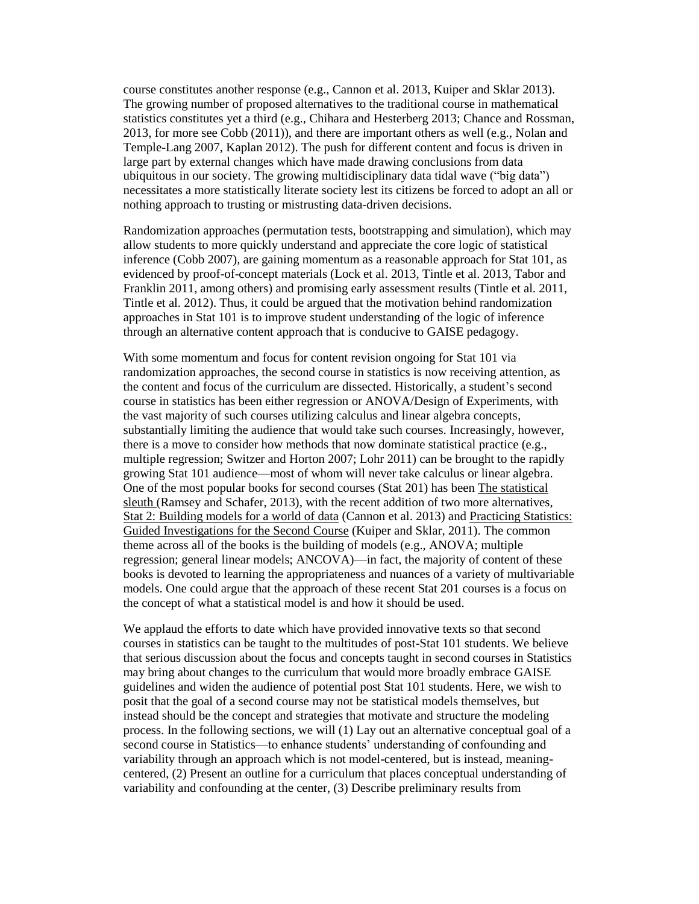course constitutes another response (e.g., Cannon et al. 2013, Kuiper and Sklar 2013). The growing number of proposed alternatives to the traditional course in mathematical statistics constitutes yet a third (e.g., Chihara and Hesterberg 2013; Chance and Rossman, 2013, for more see Cobb (2011)), and there are important others as well (e.g., Nolan and Temple-Lang 2007, Kaplan 2012). The push for different content and focus is driven in large part by external changes which have made drawing conclusions from data ubiquitous in our society. The growing multidisciplinary data tidal wave ("big data") necessitates a more statistically literate society lest its citizens be forced to adopt an all or nothing approach to trusting or mistrusting data-driven decisions.

Randomization approaches (permutation tests, bootstrapping and simulation), which may allow students to more quickly understand and appreciate the core logic of statistical inference (Cobb 2007), are gaining momentum as a reasonable approach for Stat 101, as evidenced by proof-of-concept materials (Lock et al. 2013, Tintle et al. 2013, Tabor and Franklin 2011, among others) and promising early assessment results (Tintle et al. 2011, Tintle et al. 2012). Thus, it could be argued that the motivation behind randomization approaches in Stat 101 is to improve student understanding of the logic of inference through an alternative content approach that is conducive to GAISE pedagogy.

With some momentum and focus for content revision ongoing for Stat 101 via randomization approaches, the second course in statistics is now receiving attention, as the content and focus of the curriculum are dissected. Historically, a student's second course in statistics has been either regression or ANOVA/Design of Experiments, with the vast majority of such courses utilizing calculus and linear algebra concepts, substantially limiting the audience that would take such courses. Increasingly, however, there is a move to consider how methods that now dominate statistical practice (e.g., multiple regression; Switzer and Horton 2007; Lohr 2011) can be brought to the rapidly growing Stat 101 audience—most of whom will never take calculus or linear algebra. One of the most popular books for second courses (Stat 201) has been The statistical sleuth (Ramsey and Schafer, 2013), with the recent addition of two more alternatives, Stat 2: Building models for a world of data (Cannon et al. 2013) and Practicing Statistics: Guided Investigations for the Second Course (Kuiper and Sklar, 2011). The common theme across all of the books is the building of models (e.g., ANOVA; multiple regression; general linear models; ANCOVA)—in fact, the majority of content of these books is devoted to learning the appropriateness and nuances of a variety of multivariable models. One could argue that the approach of these recent Stat 201 courses is a focus on the concept of what a statistical model is and how it should be used.

We applaud the efforts to date which have provided innovative texts so that second courses in statistics can be taught to the multitudes of post-Stat 101 students. We believe that serious discussion about the focus and concepts taught in second courses in Statistics may bring about changes to the curriculum that would more broadly embrace GAISE guidelines and widen the audience of potential post Stat 101 students. Here, we wish to posit that the goal of a second course may not be statistical models themselves, but instead should be the concept and strategies that motivate and structure the modeling process. In the following sections, we will (1) Lay out an alternative conceptual goal of a second course in Statistics—to enhance students' understanding of confounding and variability through an approach which is not model-centered, but is instead, meaningcentered, (2) Present an outline for a curriculum that places conceptual understanding of variability and confounding at the center, (3) Describe preliminary results from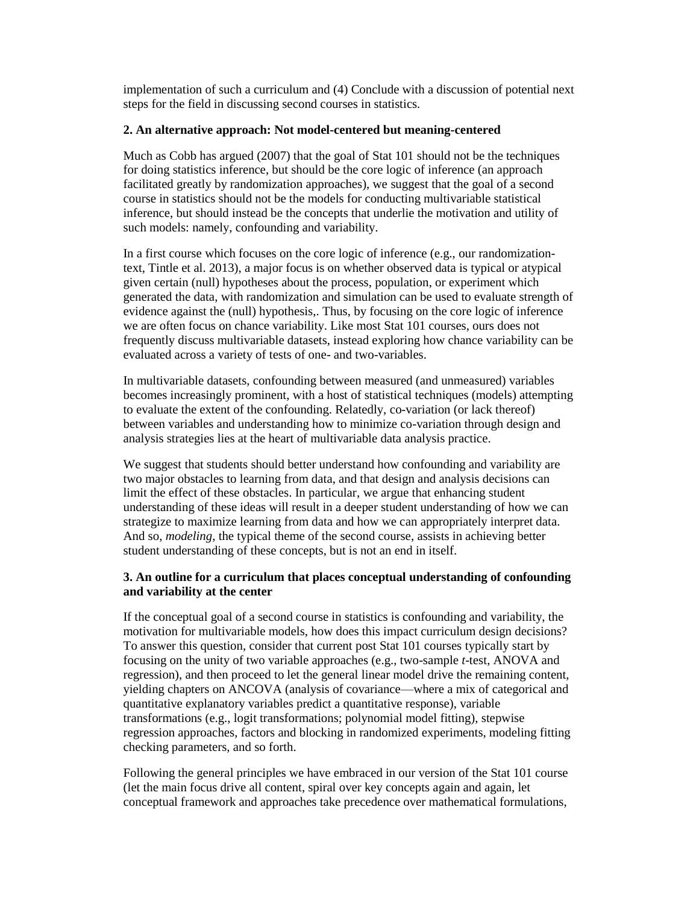implementation of such a curriculum and (4) Conclude with a discussion of potential next steps for the field in discussing second courses in statistics.

## **2. An alternative approach: Not model-centered but meaning-centered**

Much as Cobb has argued (2007) that the goal of Stat 101 should not be the techniques for doing statistics inference, but should be the core logic of inference (an approach facilitated greatly by randomization approaches), we suggest that the goal of a second course in statistics should not be the models for conducting multivariable statistical inference, but should instead be the concepts that underlie the motivation and utility of such models: namely, confounding and variability.

In a first course which focuses on the core logic of inference (e.g., our randomizationtext, Tintle et al. 2013), a major focus is on whether observed data is typical or atypical given certain (null) hypotheses about the process, population, or experiment which generated the data, with randomization and simulation can be used to evaluate strength of evidence against the (null) hypothesis,. Thus, by focusing on the core logic of inference we are often focus on chance variability. Like most Stat 101 courses, ours does not frequently discuss multivariable datasets, instead exploring how chance variability can be evaluated across a variety of tests of one- and two-variables.

In multivariable datasets, confounding between measured (and unmeasured) variables becomes increasingly prominent, with a host of statistical techniques (models) attempting to evaluate the extent of the confounding. Relatedly, co-variation (or lack thereof) between variables and understanding how to minimize co-variation through design and analysis strategies lies at the heart of multivariable data analysis practice.

We suggest that students should better understand how confounding and variability are two major obstacles to learning from data, and that design and analysis decisions can limit the effect of these obstacles. In particular, we argue that enhancing student understanding of these ideas will result in a deeper student understanding of how we can strategize to maximize learning from data and how we can appropriately interpret data. And so, *modeling*, the typical theme of the second course, assists in achieving better student understanding of these concepts, but is not an end in itself.

# **3. An outline for a curriculum that places conceptual understanding of confounding and variability at the center**

If the conceptual goal of a second course in statistics is confounding and variability, the motivation for multivariable models, how does this impact curriculum design decisions? To answer this question, consider that current post Stat 101 courses typically start by focusing on the unity of two variable approaches (e.g., two-sample *t*-test, ANOVA and regression), and then proceed to let the general linear model drive the remaining content, yielding chapters on ANCOVA (analysis of covariance—where a mix of categorical and quantitative explanatory variables predict a quantitative response), variable transformations (e.g., logit transformations; polynomial model fitting), stepwise regression approaches, factors and blocking in randomized experiments, modeling fitting checking parameters, and so forth.

Following the general principles we have embraced in our version of the Stat 101 course (let the main focus drive all content, spiral over key concepts again and again, let conceptual framework and approaches take precedence over mathematical formulations,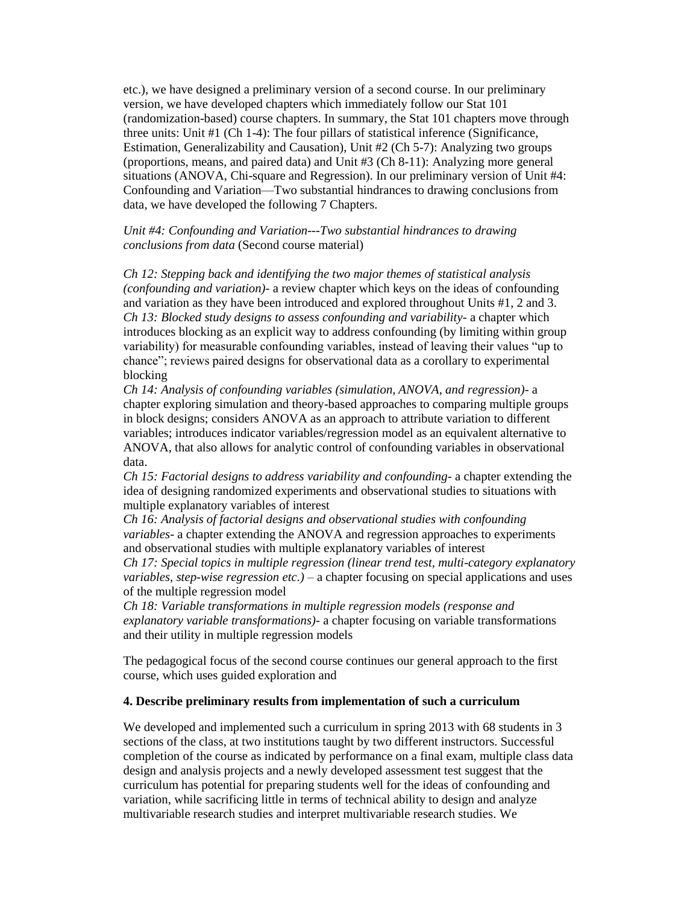etc.), we have designed a preliminary version of a second course. In our preliminary version, we have developed chapters which immediately follow our Stat 101 (randomization-based) course chapters. In summary, the Stat 101 chapters move through three units: Unit #1 (Ch 1-4): The four pillars of statistical inference (Significance, Estimation, Generalizability and Causation), Unit #2 (Ch 5-7): Analyzing two groups (proportions, means, and paired data) and Unit #3 (Ch 8-11): Analyzing more general situations (ANOVA, Chi-square and Regression). In our preliminary version of Unit #4: Confounding and Variation—Two substantial hindrances to drawing conclusions from data, we have developed the following 7 Chapters.

## *Unit #4: Confounding and Variation---Two substantial hindrances to drawing conclusions from data* (Second course material)

*Ch 12: Stepping back and identifying the two major themes of statistical analysis (confounding and variation)-* a review chapter which keys on the ideas of confounding and variation as they have been introduced and explored throughout Units #1, 2 and 3. *Ch 13: Blocked study designs to assess confounding and variability-* a chapter which introduces blocking as an explicit way to address confounding (by limiting within group variability) for measurable confounding variables, instead of leaving their values "up to chance"; reviews paired designs for observational data as a corollary to experimental blocking

*Ch 14: Analysis of confounding variables (simulation, ANOVA, and regression)-* a chapter exploring simulation and theory-based approaches to comparing multiple groups in block designs; considers ANOVA as an approach to attribute variation to different variables; introduces indicator variables/regression model as an equivalent alternative to ANOVA, that also allows for analytic control of confounding variables in observational data.

*Ch 15: Factorial designs to address variability and confounding-* a chapter extending the idea of designing randomized experiments and observational studies to situations with multiple explanatory variables of interest

*Ch 16: Analysis of factorial designs and observational studies with confounding variables-* a chapter extending the ANOVA and regression approaches to experiments and observational studies with multiple explanatory variables of interest

*Ch 17: Special topics in multiple regression (linear trend test, multi-category explanatory variables, step-wise regression etc.)* – a chapter focusing on special applications and uses of the multiple regression model

*Ch 18: Variable transformations in multiple regression models (response and explanatory variable transformations)-* a chapter focusing on variable transformations and their utility in multiple regression models

The pedagogical focus of the second course continues our general approach to the first course, which uses guided exploration and

# **4. Describe preliminary results from implementation of such a curriculum**

We developed and implemented such a curriculum in spring 2013 with 68 students in 3 sections of the class, at two institutions taught by two different instructors. Successful completion of the course as indicated by performance on a final exam, multiple class data design and analysis projects and a newly developed assessment test suggest that the curriculum has potential for preparing students well for the ideas of confounding and variation, while sacrificing little in terms of technical ability to design and analyze multivariable research studies and interpret multivariable research studies. We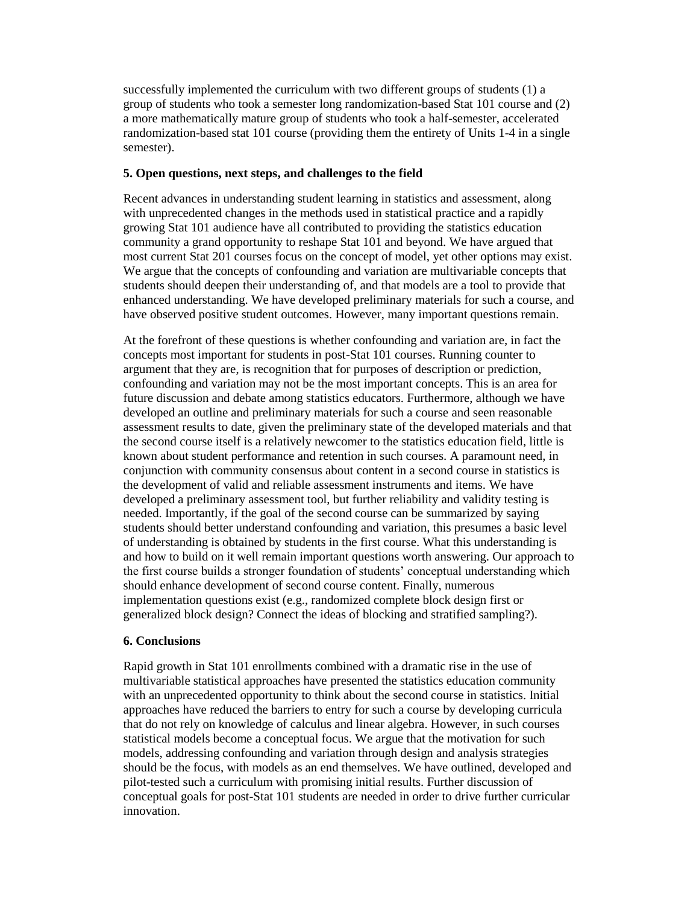successfully implemented the curriculum with two different groups of students (1) a group of students who took a semester long randomization-based Stat 101 course and (2) a more mathematically mature group of students who took a half-semester, accelerated randomization-based stat 101 course (providing them the entirety of Units 1-4 in a single semester).

# **5. Open questions, next steps, and challenges to the field**

Recent advances in understanding student learning in statistics and assessment, along with unprecedented changes in the methods used in statistical practice and a rapidly growing Stat 101 audience have all contributed to providing the statistics education community a grand opportunity to reshape Stat 101 and beyond. We have argued that most current Stat 201 courses focus on the concept of model, yet other options may exist. We argue that the concepts of confounding and variation are multivariable concepts that students should deepen their understanding of, and that models are a tool to provide that enhanced understanding. We have developed preliminary materials for such a course, and have observed positive student outcomes. However, many important questions remain.

At the forefront of these questions is whether confounding and variation are, in fact the concepts most important for students in post-Stat 101 courses. Running counter to argument that they are, is recognition that for purposes of description or prediction, confounding and variation may not be the most important concepts. This is an area for future discussion and debate among statistics educators. Furthermore, although we have developed an outline and preliminary materials for such a course and seen reasonable assessment results to date, given the preliminary state of the developed materials and that the second course itself is a relatively newcomer to the statistics education field, little is known about student performance and retention in such courses. A paramount need, in conjunction with community consensus about content in a second course in statistics is the development of valid and reliable assessment instruments and items. We have developed a preliminary assessment tool, but further reliability and validity testing is needed. Importantly, if the goal of the second course can be summarized by saying students should better understand confounding and variation, this presumes a basic level of understanding is obtained by students in the first course. What this understanding is and how to build on it well remain important questions worth answering. Our approach to the first course builds a stronger foundation of students' conceptual understanding which should enhance development of second course content. Finally, numerous implementation questions exist (e.g., randomized complete block design first or generalized block design? Connect the ideas of blocking and stratified sampling?).

# **6. Conclusions**

Rapid growth in Stat 101 enrollments combined with a dramatic rise in the use of multivariable statistical approaches have presented the statistics education community with an unprecedented opportunity to think about the second course in statistics. Initial approaches have reduced the barriers to entry for such a course by developing curricula that do not rely on knowledge of calculus and linear algebra. However, in such courses statistical models become a conceptual focus. We argue that the motivation for such models, addressing confounding and variation through design and analysis strategies should be the focus, with models as an end themselves. We have outlined, developed and pilot-tested such a curriculum with promising initial results. Further discussion of conceptual goals for post-Stat 101 students are needed in order to drive further curricular innovation.